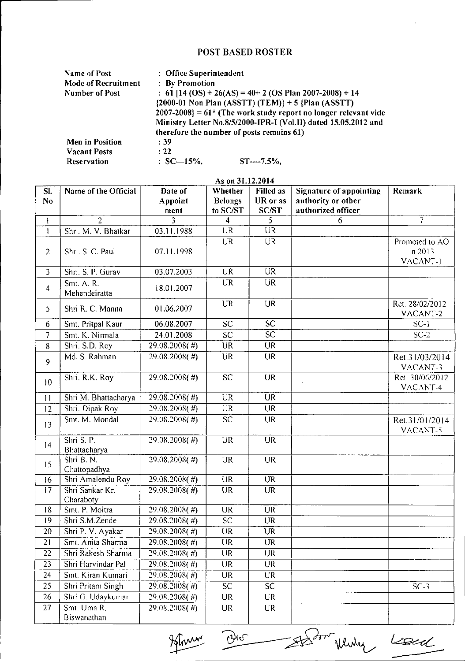## POST BASED ROSTER

| <b>Name of Post</b> | : Office Superintendent                                                                                                               |                |  |  |  |
|---------------------|---------------------------------------------------------------------------------------------------------------------------------------|----------------|--|--|--|
| Mode of Recruitment | : By Promotion                                                                                                                        |                |  |  |  |
| Number of Post      | : 61 [14 (OS) + 26(AS) = 40+ 2 (OS Plan 2007-2008) + 14                                                                               |                |  |  |  |
|                     | $\{2000-01 \text{ Non Plan (ASSTT) (TEM)}\} + 5 \{Plan (ASSTT)\}$<br>$2007-2008$ = 61* (The work study report no longer relevant vide |                |  |  |  |
|                     |                                                                                                                                       |                |  |  |  |
|                     | Ministry Letter No.8/5/2000-IPR-I (Vol.II) dated 15.05.2012 and                                                                       |                |  |  |  |
|                     | therefore the number of posts remains 61)                                                                                             |                |  |  |  |
| Men in Position     | :39                                                                                                                                   |                |  |  |  |
| <b>Vacant Posts</b> | : 22                                                                                                                                  |                |  |  |  |
| Reservation         | $: SC=15\%$ .                                                                                                                         | $ST---7.5\%$ . |  |  |  |

| As on 31.12.2014      |                              |                            |                                       |                                       |                                                                            |                                       |  |  |
|-----------------------|------------------------------|----------------------------|---------------------------------------|---------------------------------------|----------------------------------------------------------------------------|---------------------------------------|--|--|
| SI.<br>N <sub>o</sub> | Name of the Official         | Date of<br>Appoint<br>ment | Whether<br><b>Belongs</b><br>to SC/ST | <b>Filled</b> as<br>UR or as<br>SC/ST | <b>Signature of appointing</b><br>authority or other<br>authorized officer | Remark                                |  |  |
| ł                     | $\overline{2}$               |                            | $\overline{\mathbf{4}}$               | 5                                     | 6                                                                          | $\overline{7}$                        |  |  |
| $\mathbf{I}$          | Shri. M. V. Bhatkar          | 03.11.1988                 | <b>UR</b>                             | <b>UR</b>                             |                                                                            |                                       |  |  |
| $\overline{2}$        | Shri. S. C. Paul             | 07.11.1998                 | <b>UR</b>                             | UR                                    |                                                                            | Promoted to AO<br>in 2013<br>VACANT-1 |  |  |
| $\overline{3}$        | Shri. S. P. Gurav            | 03.07.2003                 | <b>UR</b>                             | <b>UR</b>                             |                                                                            |                                       |  |  |
| 4                     | Smt. A. R.<br>Mehendeiratta  | 18.01.2007                 | <b>UR</b>                             | UR                                    |                                                                            |                                       |  |  |
| 5                     | Shri R. C. Manna             | 01.06.2007                 | <b>UR</b>                             | <b>UR</b>                             |                                                                            | Ret. 28/02/2012<br>VACANT-2           |  |  |
| 6                     | Smt. Pritpal Kaur            | 06.08.2007                 | SC <sub>1</sub>                       | SC                                    |                                                                            | $SC-I$                                |  |  |
| $\overline{7}$        | Smt. K. Nirmala              | 24.01.2008                 | <b>SC</b>                             | $\overline{\text{sc}}$                |                                                                            | $SC-2$                                |  |  |
| 8                     | Shri S.D. Roy                | 29.08.2008(#)              | <b>UR</b>                             | <b>UR</b>                             |                                                                            |                                       |  |  |
| 9                     | Md. S. Rahman                | 29.08.2008(#)              | <b>UR</b>                             | <b>UR</b>                             |                                                                            | Ret.31/03/2014<br>VACANT-3            |  |  |
| 10                    | Shri. R.K. Roy               | 29.08.2008(#)              | <b>SC</b>                             | <b>UR</b>                             |                                                                            | Ret. 30/06/2012<br>VACANT-4           |  |  |
| $\mathbf{H}$          | Shri M. Bhattacharya         | 29.08.2008(#)              | <b>UR</b>                             | <b>UR</b>                             |                                                                            |                                       |  |  |
| 12                    | Shri. Dipak Roy              | 29.08.2008(#)              | <b>UR</b>                             | <b>UR</b>                             |                                                                            |                                       |  |  |
| 13                    | Smt. M. Mondal               | 29.08.2008(#)              | <b>SC</b>                             | <b>UR</b>                             |                                                                            | Ret.31/01/2014<br>VACANT-5            |  |  |
| 14                    | Shri S. P.<br>Bhattacharya   | 29.08.2008(#)              | UR                                    | $\overline{UR}$                       |                                                                            |                                       |  |  |
| 15                    | Shri B.N.<br>Chattopadhya    | 29.08.2008(#)              | <b>UR</b>                             | $\overline{\text{UR}}$                |                                                                            |                                       |  |  |
| 16                    | Shri Amalendu Roy            | 29.08.2008(#)              | $\overline{\text{UR}}$                | <b>UR</b>                             |                                                                            |                                       |  |  |
| 17                    | Shri Sankar Kr.<br>Charaboty | 29.08.2008(#)              | <b>UR</b>                             | <b>UR</b>                             |                                                                            |                                       |  |  |
| 18                    | Smt. P. Moitra               | $29.08,2008($ #)           | <b>UR</b>                             | <b>UR</b>                             |                                                                            |                                       |  |  |
| 19                    | Shri S.M.Zende               | 29.08.2008(#)              | $\overline{SC}$                       | <b>UR</b>                             |                                                                            |                                       |  |  |
| 20                    | Shri P. V. Ayakar            | 29.08.2008(#)              | <b>UR</b>                             | <b>UR</b>                             |                                                                            |                                       |  |  |
| 21                    | Smt. Anita Sharma            | 29.08.2008(#)              | UR                                    | UR                                    |                                                                            |                                       |  |  |
| 22                    | Shri Rakesh Sharma           | 29.08.2008(#)              | UR                                    | <b>UR</b>                             |                                                                            |                                       |  |  |
| 23                    | Shri Harvindar Pal           | 29.08.2008(#)              | UR                                    | UR                                    |                                                                            |                                       |  |  |
| 24                    | Smt. Kiran Kumari            | 29.08.2008(#)              | UR                                    | UR                                    |                                                                            |                                       |  |  |
| $\overline{25}$       | Shri Pritam Singh            | 29.08.2008(#)              | SC.                                   | <b>SC</b>                             |                                                                            | $SC-3$                                |  |  |
| 26                    | Shri G. Udaykumar            | $29.08.2008($ #)           | UR                                    | UR                                    |                                                                            |                                       |  |  |
| 27                    | Smt. Uma R.<br>Biswanathan   | 29.08.2008(#)              | UR                                    | <b>UR</b>                             |                                                                            |                                       |  |  |

Hommer Die Staden Winder Local